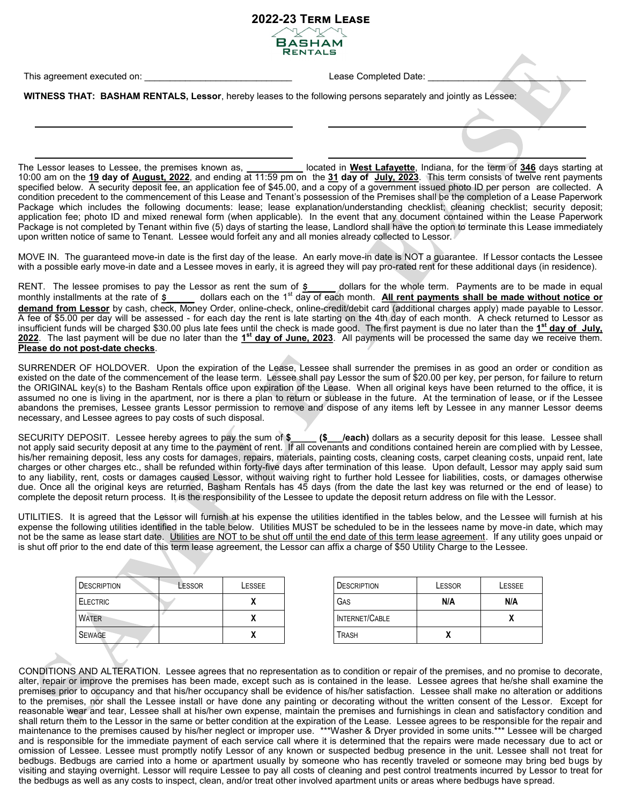BASHAN **RENTALS** 

**2022-23 Term Lease**

This agreement executed on: \_\_\_\_\_\_\_\_\_\_\_\_\_\_\_\_\_\_\_\_\_\_\_\_\_\_\_\_\_ Lease Completed Date: \_\_\_\_\_\_\_\_\_\_\_\_\_\_\_\_\_\_\_\_\_\_\_\_\_\_\_\_\_\_\_

**WITNESS THAT: BASHAM RENTALS, Lessor**, hereby leases to the following persons separately and jointly as Lessee:

The Lessor leases to Lessee, the premises known as, **\_\_\_\_\_\_\_\_\_\_\_** located in **West Lafayette**, Indiana, for the term of **346** days starting at 10:00 am on the **19 day of August, 2022**, and ending at 11:59 pm on the **31 day of July, 2023**. This term consists of twelve rent payments specified below. A security deposit fee, an application fee of \$45.00, and a copy of a government issued photo ID per person are collected. A condition precedent to the commencement of this Lease and Tenant's possession of the Premises shall be the completion of a Lease Paperwork Package which includes the following documents: lease; lease explanation/understanding checklist; cleaning checklist; security deposit; application fee; photo ID and mixed renewal form (when applicable). In the event that any document contained within the Lease Paperwork Package is not completed by Tenant within five (5) days of starting the lease, Landlord shall have the option to terminate this Lease immediately upon written notice of same to Tenant. Lessee would forfeit any and all monies already collected to Lessor.

MOVE IN. The guaranteed move-in date is the first day of the lease. An early move-in date is NOT a guarantee. If Lessor contacts the Lessee with a possible early move-in date and a Lessee moves in early, it is agreed they will pay pro-rated rent for these additional days (in residence).

RENT. The lessee promises to pay the Lessor as rent the sum of **\$\_\_\_\_\_** dollars for the whole term. Payments are to be made in equal monthly installments at the rate of  $\varsigma$  dollars each on the 1<sup>st</sup> day of each month. **All rent payments shall be made without notice or demand from Lessor** by cash, check, Money Order, online-check, online-credit/debit card (additional charges apply) made payable to Lessor. A fee of \$5.00 per day will be assessed - for each day the rent is late starting on the 4th day of each month. A check returned to Lessor as insufficient funds will be charged \$30.00 plus late fees until the check is made good. The first payment is due no later than the **1 st day of July, 2022**. The last payment will be due no later than the **1 st day of June, 2023**. All payments will be processed the same day we receive them. **Please do not post-date checks**.

SURRENDER OF HOLDOVER. Upon the expiration of the Lease, Lessee shall surrender the premises in as good an order or condition as existed on the date of the commencement of the lease term. Lessee shall pay Lessor the sum of \$20.00 per key, per person, for failure to return the ORIGINAL key(s) to the Basham Rentals office upon expiration of the Lease. When all original keys have been returned to the office, it is assumed no one is living in the apartment, nor is there a plan to return or sublease in the future. At the termination of lease, or if the Lessee abandons the premises, Lessee grants Lessor permission to remove and dispose of any items left by Lessee in any manner Lessor deems necessary, and Lessee agrees to pay costs of such disposal.

SECURITY DEPOSIT. Lessee hereby agrees to pay the sum of **\$\_\_\_\_\_ (\$\_\_\_/each)** dollars as a security deposit for this lease. Lessee shall not apply said security deposit at any time to the payment of rent. If all covenants and conditions contained herein are complied with by Lessee, his/her remaining deposit, less any costs for damages, repairs, materials, painting costs, cleaning costs, carpet cleaning costs, unpaid rent, late charges or other charges etc., shall be refunded within forty-five days after termination of this lease. Upon default, Lessor may apply said sum to any liability, rent, costs or damages caused Lessor, without waiving right to further hold Lessee for liabilities, costs, or damages otherwise due. Once all the original keys are returned, Basham Rentals has 45 days (from the date the last key was returned or the end of lease) to complete the deposit return process. It is the responsibility of the Lessee to update the deposit return address on file with the Lessor.

UTILITIES. It is agreed that the Lessor will furnish at his expense the utilities identified in the tables below, and the Lessee will furnish at his expense the following utilities identified in the table below. Utilities MUST be scheduled to be in the lessees name by move-in date, which may not be the same as lease start date. Utilities are NOT to be shut off until the end date of this term lease agreement. If any utility goes unpaid or is shut off prior to the end date of this term lease agreement, the Lessor can affix a charge of \$50 Utility Charge to the Lessee.

| <b>DESCRIPTION</b> | LESSOR | LESSEE       | <b>DESCRIPTION</b> | LESSOR | LESSEE |
|--------------------|--------|--------------|--------------------|--------|--------|
| <b>ELECTRIC</b>    |        |              | GAS                | N/A    | N/A    |
| <b>WATER</b>       |        | $\mathbf{v}$ | INTERNET/CABLE     |        |        |
| <b>SEWAGE</b>      |        | л            | <b>TRASH</b>       |        |        |

CONDITIONS AND ALTERATION. Lessee agrees that no representation as to condition or repair of the premises, and no promise to decorate, alter, repair or improve the premises has been made, except such as is contained in the lease. Lessee agrees that he/she shall examine the premises prior to occupancy and that his/her occupancy shall be evidence of his/her satisfaction. Lessee shall make no alteration or additions to the premises, nor shall the Lessee install or have done any painting or decorating without the written consent of the Lessor. Except for reasonable wear and tear, Lessee shall at his/her own expense, maintain the premises and furnishings in clean and satisfactory condition and shall return them to the Lessor in the same or better condition at the expiration of the Lease. Lessee agrees to be responsible for the repair and maintenance to the premises caused by his/her neglect or improper use. \*\*\*Washer & Dryer provided in some units.\*\*\* Lessee will be charged and is responsible for the immediate payment of each service call where it is determined that the repairs were made necessary due to act or omission of Lessee. Lessee must promptly notify Lessor of any known or suspected bedbug presence in the unit. Lessee shall not treat for bedbugs. Bedbugs are carried into a home or apartment usually by someone who has recently traveled or someone may bring bed bugs by visiting and staying overnight. Lessor will require Lessee to pay all costs of cleaning and pest control treatments incurred by Lessor to treat for the bedbugs as well as any costs to inspect, clean, and/or treat other involved apartment units or areas where bedbugs have spread.